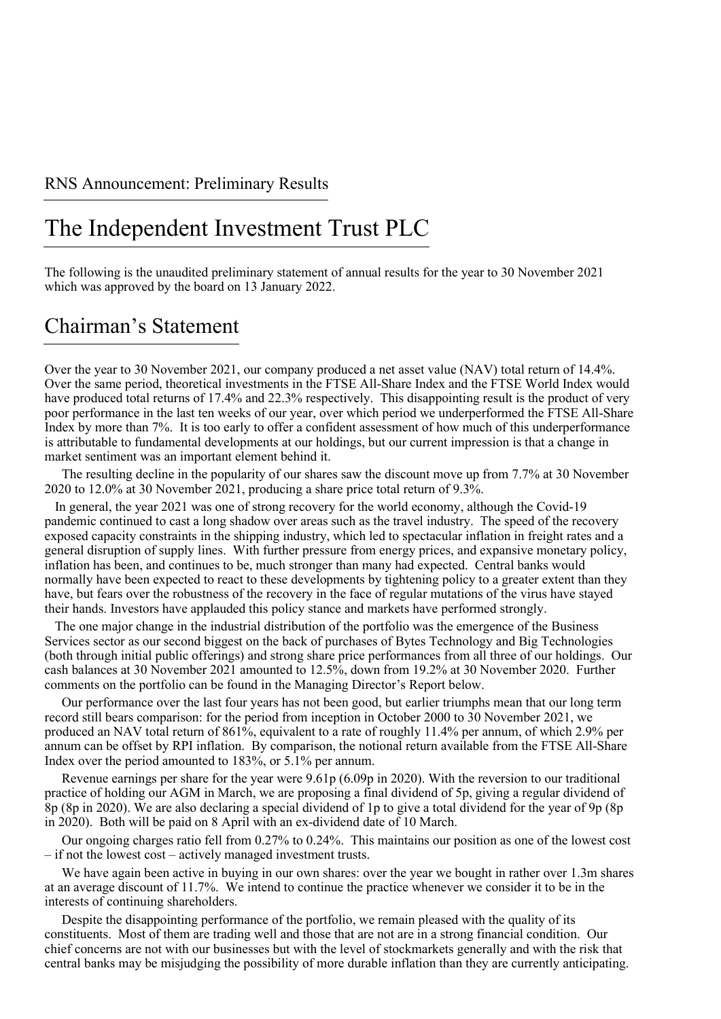### RNS Announcement: Preliminary Results

## The Independent Investment Trust PLC

The following is the unaudited preliminary statement of annual results for the year to 30 November 2021 which was approved by the board on 13 January 2022.

### Chairman's Statement

Over the year to 30 November 2021, our company produced a net asset value (NAV) total return of 14.4%. Over the same period, theoretical investments in the FTSE All-Share Index and the FTSE World Index would have produced total returns of 17.4% and 22.3% respectively. This disappointing result is the product of very poor performance in the last ten weeks of our year, over which period we underperformed the FTSE All-Share Index by more than 7%. It is too early to offer a confident assessment of how much of this underperformance is attributable to fundamental developments at our holdings, but our current impression is that a change in market sentiment was an important element behind it.

The resulting decline in the popularity of our shares saw the discount move up from 7.7% at 30 November 2020 to 12.0% at 30 November 2021, producing a share price total return of 9.3%.

In general, the year 2021 was one of strong recovery for the world economy, although the Covid-19 pandemic continued to cast a long shadow over areas such as the travel industry. The speed of the recovery exposed capacity constraints in the shipping industry, which led to spectacular inflation in freight rates and a general disruption of supply lines. With further pressure from energy prices, and expansive monetary policy, inflation has been, and continues to be, much stronger than many had expected. Central banks would normally have been expected to react to these developments by tightening policy to a greater extent than they have, but fears over the robustness of the recovery in the face of regular mutations of the virus have stayed their hands. Investors have applauded this policy stance and markets have performed strongly.

The one major change in the industrial distribution of the portfolio was the emergence of the Business Services sector as our second biggest on the back of purchases of Bytes Technology and Big Technologies (both through initial public offerings) and strong share price performances from all three of our holdings. Our cash balances at 30 November 2021 amounted to 12.5%, down from 19.2% at 30 November 2020. Further comments on the portfolio can be found in the Managing Director's Report below.

Our performance over the last four years has not been good, but earlier triumphs mean that our long term record still bears comparison: for the period from inception in October 2000 to 30 November 2021, we produced an NAV total return of 861%, equivalent to a rate of roughly 11.4% per annum, of which 2.9% per annum can be offset by RPI inflation. By comparison, the notional return available from the FTSE All-Share Index over the period amounted to 183%, or 5.1% per annum.

Revenue earnings per share for the year were 9.61p (6.09p in 2020). With the reversion to our traditional practice of holding our AGM in March, we are proposing a final dividend of 5p, giving a regular dividend of 8p (8p in 2020). We are also declaring a special dividend of 1p to give a total dividend for the year of 9p (8p in 2020). Both will be paid on 8 April with an ex-dividend date of 10 March.

Our ongoing charges ratio fell from 0.27% to 0.24%. This maintains our position as one of the lowest cost – if not the lowest cost – actively managed investment trusts.

We have again been active in buying in our own shares: over the year we bought in rather over 1.3m shares at an average discount of 11.7%. We intend to continue the practice whenever we consider it to be in the interests of continuing shareholders.

Despite the disappointing performance of the portfolio, we remain pleased with the quality of its constituents. Most of them are trading well and those that are not are in a strong financial condition. Our chief concerns are not with our businesses but with the level of stockmarkets generally and with the risk that central banks may be misjudging the possibility of more durable inflation than they are currently anticipating.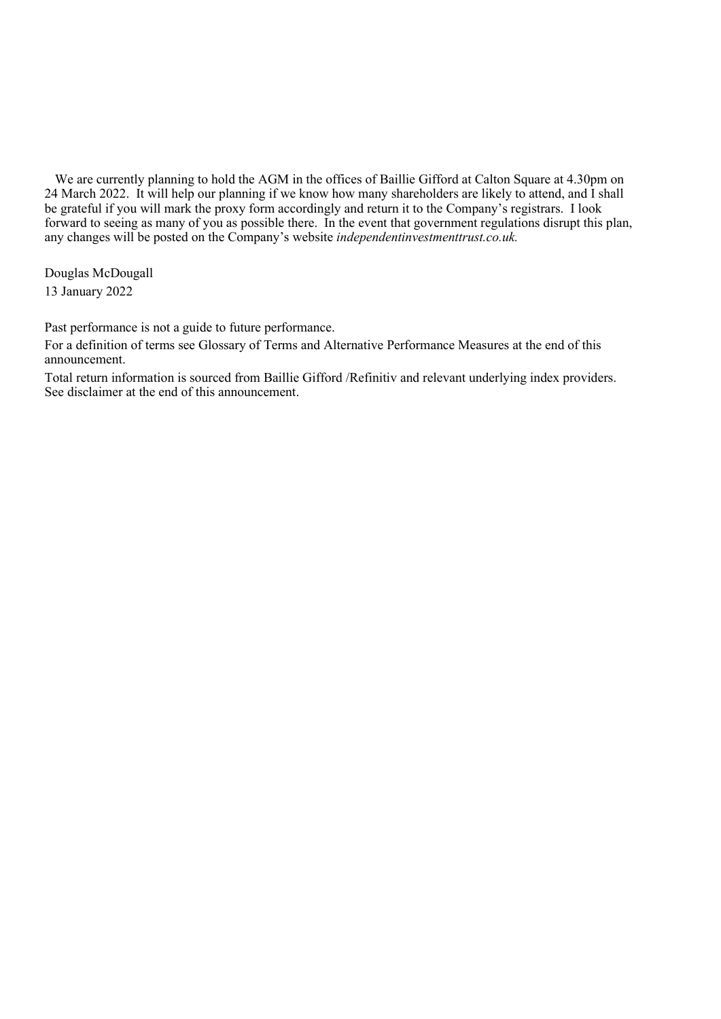We are currently planning to hold the AGM in the offices of Baillie Gifford at Calton Square at 4.30pm on 24 March 2022. It will help our planning if we know how many shareholders are likely to attend, and I shall be grateful if you will mark the proxy form accordingly and return it to the Company's registrars. I look forward to seeing as many of you as possible there. In the event that government regulations disrupt this plan, any changes will be posted on the Company's website *independentinvestmenttrust.co.uk.*

Douglas McDougall 13 January 2022

Past performance is not a guide to future performance.

For a definition of terms see Glossary of Terms and Alternative Performance Measures at the end of this announcement.

Total return information is sourced from Baillie Gifford /Refinitiv and relevant underlying index providers. See disclaimer at the end of this announcement.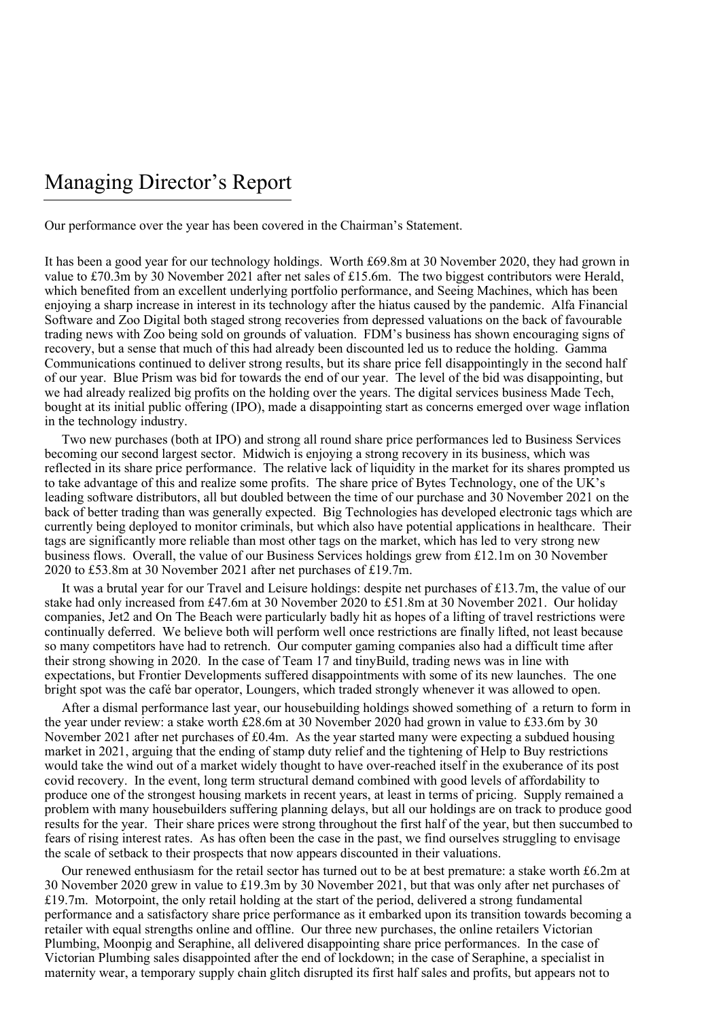## Managing Director's Report

Our performance over the year has been covered in the Chairman's Statement.

It has been a good year for our technology holdings. Worth £69.8m at 30 November 2020, they had grown in value to £70.3m by 30 November 2021 after net sales of £15.6m. The two biggest contributors were Herald, which benefited from an excellent underlying portfolio performance, and Seeing Machines, which has been enjoying a sharp increase in interest in its technology after the hiatus caused by the pandemic. Alfa Financial Software and Zoo Digital both staged strong recoveries from depressed valuations on the back of favourable trading news with Zoo being sold on grounds of valuation. FDM's business has shown encouraging signs of recovery, but a sense that much of this had already been discounted led us to reduce the holding. Gamma Communications continued to deliver strong results, but its share price fell disappointingly in the second half of our year. Blue Prism was bid for towards the end of our year. The level of the bid was disappointing, but we had already realized big profits on the holding over the years. The digital services business Made Tech, bought at its initial public offering (IPO), made a disappointing start as concerns emerged over wage inflation in the technology industry.

Two new purchases (both at IPO) and strong all round share price performances led to Business Services becoming our second largest sector. Midwich is enjoying a strong recovery in its business, which was reflected in its share price performance. The relative lack of liquidity in the market for its shares prompted us to take advantage of this and realize some profits. The share price of Bytes Technology, one of the UK's leading software distributors, all but doubled between the time of our purchase and 30 November 2021 on the back of better trading than was generally expected. Big Technologies has developed electronic tags which are currently being deployed to monitor criminals, but which also have potential applications in healthcare. Their tags are significantly more reliable than most other tags on the market, which has led to very strong new business flows. Overall, the value of our Business Services holdings grew from £12.1m on 30 November 2020 to £53.8m at 30 November 2021 after net purchases of £19.7m.

It was a brutal year for our Travel and Leisure holdings: despite net purchases of £13.7m, the value of our stake had only increased from £47.6m at 30 November 2020 to £51.8m at 30 November 2021. Our holiday companies, Jet2 and On The Beach were particularly badly hit as hopes of a lifting of travel restrictions were continually deferred. We believe both will perform well once restrictions are finally lifted, not least because so many competitors have had to retrench. Our computer gaming companies also had a difficult time after their strong showing in 2020. In the case of Team 17 and tinyBuild, trading news was in line with expectations, but Frontier Developments suffered disappointments with some of its new launches. The one bright spot was the café bar operator, Loungers, which traded strongly whenever it was allowed to open.

After a dismal performance last year, our housebuilding holdings showed something of a return to form in the year under review: a stake worth £28.6m at 30 November 2020 had grown in value to £33.6m by 30 November 2021 after net purchases of £0.4m. As the year started many were expecting a subdued housing market in 2021, arguing that the ending of stamp duty relief and the tightening of Help to Buy restrictions would take the wind out of a market widely thought to have over-reached itself in the exuberance of its post covid recovery. In the event, long term structural demand combined with good levels of affordability to produce one of the strongest housing markets in recent years, at least in terms of pricing. Supply remained a problem with many housebuilders suffering planning delays, but all our holdings are on track to produce good results for the year. Their share prices were strong throughout the first half of the year, but then succumbed to fears of rising interest rates. As has often been the case in the past, we find ourselves struggling to envisage the scale of setback to their prospects that now appears discounted in their valuations.

Our renewed enthusiasm for the retail sector has turned out to be at best premature: a stake worth £6.2m at 30 November 2020 grew in value to £19.3m by 30 November 2021, but that was only after net purchases of £19.7m. Motorpoint, the only retail holding at the start of the period, delivered a strong fundamental performance and a satisfactory share price performance as it embarked upon its transition towards becoming a retailer with equal strengths online and offline. Our three new purchases, the online retailers Victorian Plumbing, Moonpig and Seraphine, all delivered disappointing share price performances. In the case of Victorian Plumbing sales disappointed after the end of lockdown; in the case of Seraphine, a specialist in maternity wear, a temporary supply chain glitch disrupted its first half sales and profits, but appears not to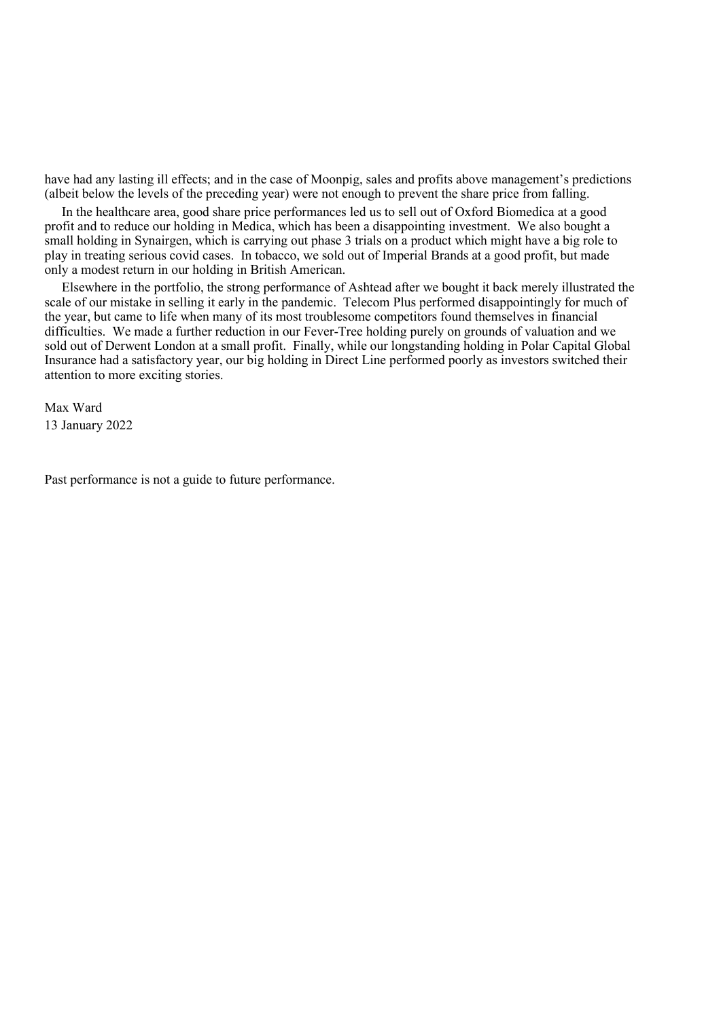have had any lasting ill effects; and in the case of Moonpig, sales and profits above management's predictions (albeit below the levels of the preceding year) were not enough to prevent the share price from falling.

In the healthcare area, good share price performances led us to sell out of Oxford Biomedica at a good profit and to reduce our holding in Medica, which has been a disappointing investment. We also bought a small holding in Synairgen, which is carrying out phase 3 trials on a product which might have a big role to play in treating serious covid cases. In tobacco, we sold out of Imperial Brands at a good profit, but made only a modest return in our holding in British American.

Elsewhere in the portfolio, the strong performance of Ashtead after we bought it back merely illustrated the scale of our mistake in selling it early in the pandemic. Telecom Plus performed disappointingly for much of the year, but came to life when many of its most troublesome competitors found themselves in financial difficulties. We made a further reduction in our Fever-Tree holding purely on grounds of valuation and we sold out of Derwent London at a small profit. Finally, while our longstanding holding in Polar Capital Global Insurance had a satisfactory year, our big holding in Direct Line performed poorly as investors switched their attention to more exciting stories.

Max Ward 13 January 2022

Past performance is not a guide to future performance.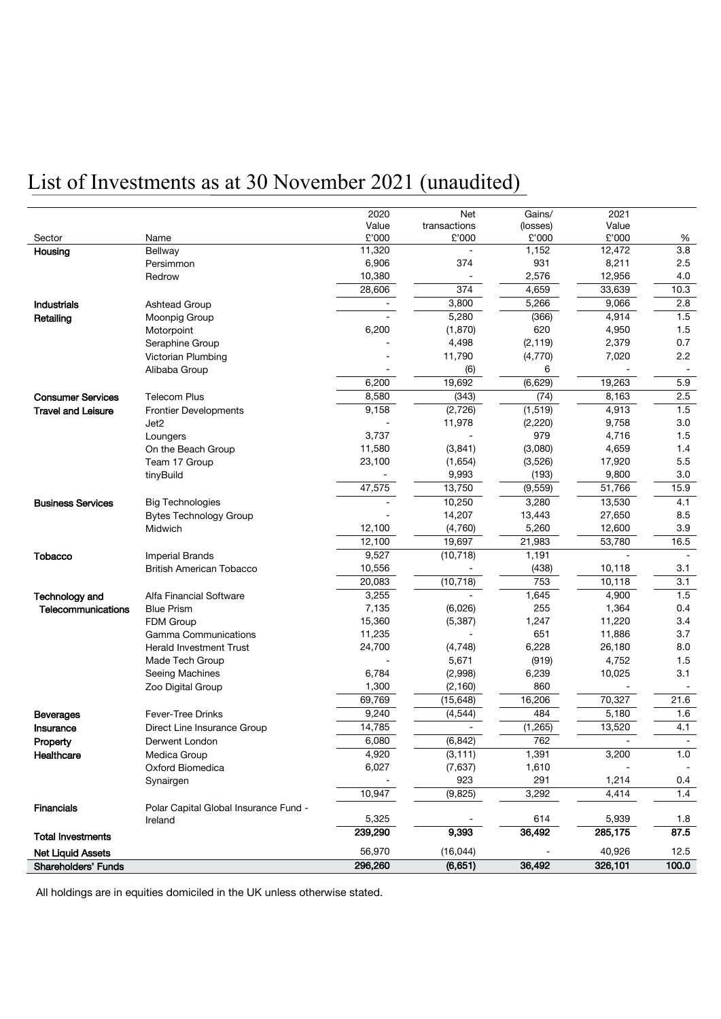# List of Investments as at 30 November 2021 (unaudited)

|                           |                                       | 2020    | <b>Net</b>   | Gains/   | 2021    |                  |
|---------------------------|---------------------------------------|---------|--------------|----------|---------|------------------|
|                           |                                       | Value   | transactions | (losses) | Value   |                  |
| Sector                    | Name                                  | £'000   | £'000        | £'000    | £'000   | %                |
| Housing                   | Bellway                               | 11,320  |              | 1,152    | 12,472  | $\overline{3.8}$ |
|                           | Persimmon                             | 6,906   | 374          | 931      | 8,211   | 2.5              |
|                           | Redrow                                | 10,380  |              | 2,576    | 12,956  | 4.0              |
|                           |                                       | 28,606  | 374          | 4,659    | 33,639  | 10.3             |
| Industrials               | Ashtead Group                         |         | 3,800        | 5,266    | 9,066   | 2.8              |
| Retailing                 | Moonpig Group                         |         | 5,280        | (366)    | 4,914   | 1.5              |
|                           | Motorpoint                            | 6,200   | (1, 870)     | 620      | 4,950   | 1.5              |
|                           | Seraphine Group                       |         | 4,498        | (2, 119) | 2,379   | 0.7              |
|                           | Victorian Plumbing                    |         | 11,790       | (4,770)  | 7,020   | 2.2              |
|                           | Alibaba Group                         |         | (6)          | 6        |         |                  |
|                           |                                       | 6,200   | 19,692       | (6,629)  | 19,263  | 5.9              |
| <b>Consumer Services</b>  | <b>Telecom Plus</b>                   | 8,580   | (343)        | (74)     | 8,163   | 2.5              |
| <b>Travel and Leisure</b> | <b>Frontier Developments</b>          | 9,158   | (2,726)      | (1, 519) | 4,913   | 1.5              |
|                           | Jet <sub>2</sub>                      |         | 11,978       | (2, 220) | 9,758   | 3.0              |
|                           | Loungers                              | 3,737   |              | 979      | 4,716   | 1.5              |
|                           | On the Beach Group                    | 11,580  | (3, 841)     | (3,080)  | 4,659   | 1.4              |
|                           | Team 17 Group                         | 23,100  | (1,654)      | (3,526)  | 17,920  | 5.5              |
|                           | tinyBuild                             |         | 9,993        | (193)    | 9,800   | 3.0              |
|                           |                                       | 47,575  | 13,750       | (9, 559) | 51,766  | 15.9             |
| <b>Business Services</b>  | <b>Big Technologies</b>               |         | 10,250       | 3,280    | 13,530  | 4.1              |
|                           | <b>Bytes Technology Group</b>         |         | 14,207       | 13,443   | 27,650  | 8.5              |
|                           | Midwich                               | 12,100  | (4,760)      | 5,260    | 12,600  | 3.9              |
|                           |                                       | 12,100  | 19,697       | 21,983   | 53,780  | 16.5             |
| Tobacco                   | <b>Imperial Brands</b>                | 9,527   | (10, 718)    | 1,191    |         |                  |
|                           | <b>British American Tobacco</b>       | 10,556  |              | (438)    | 10,118  | 3.1              |
|                           |                                       | 20,083  | (10, 718)    | 753      | 10,118  | 3.1              |
| Technology and            | Alfa Financial Software               | 3,255   |              | 1,645    | 4,900   | 1.5              |
| Telecommunications        | <b>Blue Prism</b>                     | 7,135   | (6,026)      | 255      | 1,364   | 0.4              |
|                           | FDM Group                             | 15,360  | (5, 387)     | 1,247    | 11,220  | 3.4              |
|                           | Gamma Communications                  | 11,235  |              | 651      | 11,886  | 3.7              |
|                           | <b>Herald Investment Trust</b>        | 24,700  | (4, 748)     | 6,228    | 26,180  | 8.0              |
|                           | Made Tech Group                       |         | 5,671        | (919)    | 4,752   | 1.5              |
|                           | Seeing Machines                       | 6,784   | (2,998)      | 6,239    | 10,025  | 3.1              |
|                           | Zoo Digital Group                     | 1,300   | (2, 160)     | 860      |         |                  |
|                           |                                       | 69,769  | (15, 648)    | 16,206   | 70,327  | 21.6             |
| <b>Beverages</b>          | <b>Fever-Tree Drinks</b>              | 9,240   | (4, 544)     | 484      | 5,180   | 1.6              |
| Insurance                 | Direct Line Insurance Group           | 14,785  |              | (1,265)  | 13,520  | 4.1              |
| Property                  | Derwent London                        | 6,080   | (6, 842)     | 762      |         |                  |
| Healthcare                | Medica Group                          | 4,920   | (3, 111)     | 1,391    | 3,200   | 1.0              |
|                           | Oxford Biomedica                      | 6,027   | (7,637)      | 1,610    |         |                  |
|                           | Synairgen                             |         | 923          | 291      | 1,214   | 0.4              |
|                           |                                       | 10,947  | (9, 825)     | 3,292    | 4,414   | 1.4              |
| <b>Financials</b>         | Polar Capital Global Insurance Fund - |         |              |          |         |                  |
|                           | Ireland                               | 5,325   |              | 614      | 5,939   | 1.8              |
| <b>Total Investments</b>  |                                       | 239,290 | 9,393        | 36,492   | 285,175 | 87.5             |
| <b>Net Liquid Assets</b>  |                                       | 56,970  | (16, 044)    |          | 40,926  | 12.5             |
| Shareholders' Funds       |                                       | 296,260 | (6,651)      | 36,492   | 326,101 | 100.0            |
|                           |                                       |         |              |          |         |                  |

All holdings are in equities domiciled in the UK unless otherwise stated.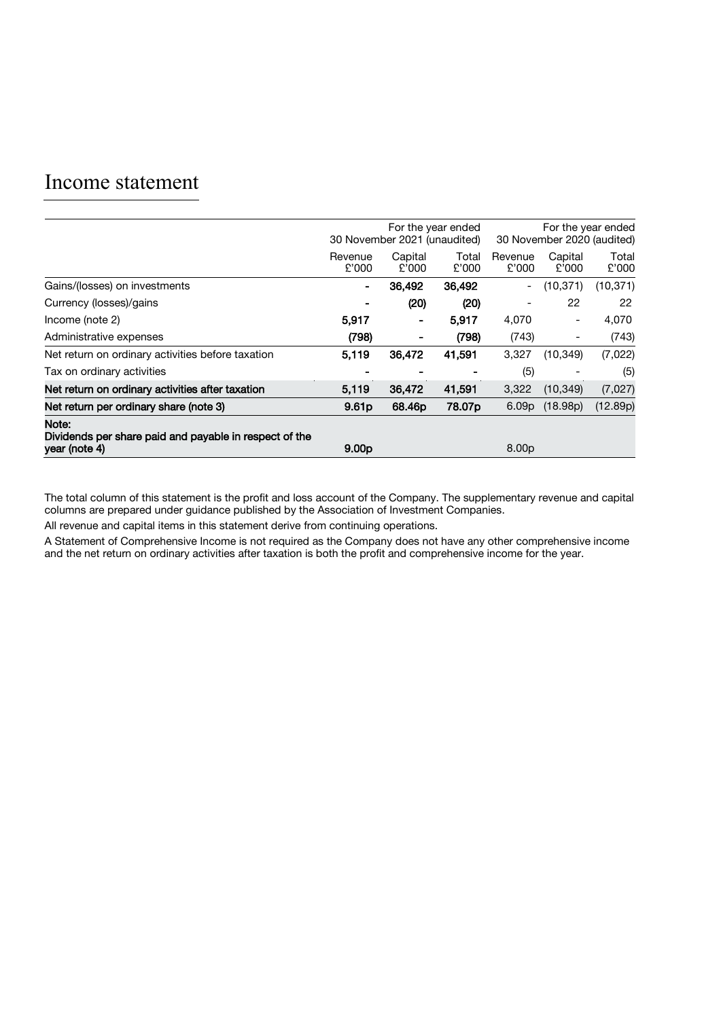### Income statement

|                                                                                  | For the year ended<br>30 November 2021 (unaudited) |                  |                    | For the year ended<br>30 November 2020 (audited) |                  |                |  |
|----------------------------------------------------------------------------------|----------------------------------------------------|------------------|--------------------|--------------------------------------------------|------------------|----------------|--|
|                                                                                  | Revenue<br>£'000                                   | Capital<br>£'000 | Total<br>£'000     | Revenue<br>£'000                                 | Capital<br>£'000 | Total<br>£'000 |  |
| Gains/(losses) on investments                                                    | $\blacksquare$                                     | 36,492           | 36,492             | $\overline{\phantom{a}}$                         | (10, 371)        | (10, 371)      |  |
| Currency (losses)/gains                                                          |                                                    | (20)             | (20)               | $\overline{\phantom{a}}$                         | 22               | 22             |  |
| Income (note 2)                                                                  | 5,917                                              | -                | 5,917              | 4,070                                            | ٠                | 4,070          |  |
| Administrative expenses                                                          | (798)                                              | -                | (798)              | (743)                                            | -                | (743)          |  |
| Net return on ordinary activities before taxation                                | 5,119                                              | 36,472           | 41,591             | 3,327                                            | (10, 349)        | (7,022)        |  |
| Tax on ordinary activities                                                       |                                                    |                  |                    | (5)                                              |                  | (5)            |  |
| Net return on ordinary activities after taxation                                 | 5,119                                              | 36,472           | 41,591             | 3,322                                            | (10, 349)        | (7,027)        |  |
| Net return per ordinary share (note 3)                                           | 9.61 <sub>p</sub>                                  | 68.46p           | 78,07 <sub>p</sub> | 6.09 <sub>p</sub>                                | (18.98p)         | (12.89p)       |  |
| Note:<br>Dividends per share paid and payable in respect of the<br>year (note 4) | 9.00 <sub>p</sub>                                  |                  |                    | 8.00 <sub>p</sub>                                |                  |                |  |

The total column of this statement is the profit and loss account of the Company. The supplementary revenue and capital columns are prepared under guidance published by the Association of Investment Companies.

All revenue and capital items in this statement derive from continuing operations.

A Statement of Comprehensive Income is not required as the Company does not have any other comprehensive income and the net return on ordinary activities after taxation is both the profit and comprehensive income for the year.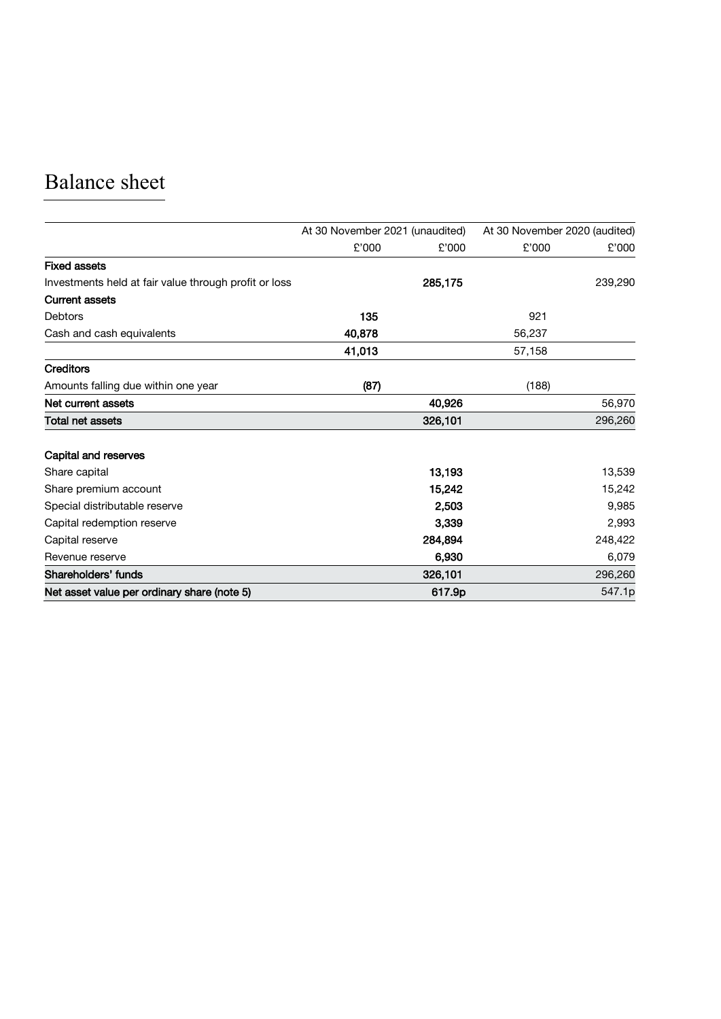# Balance sheet

|                                                       | At 30 November 2021 (unaudited) |         | At 30 November 2020 (audited) |         |
|-------------------------------------------------------|---------------------------------|---------|-------------------------------|---------|
|                                                       | £'000                           | £'000   | £'000                         | £'000   |
| <b>Fixed assets</b>                                   |                                 |         |                               |         |
| Investments held at fair value through profit or loss |                                 | 285,175 |                               | 239,290 |
| <b>Current assets</b>                                 |                                 |         |                               |         |
| <b>Debtors</b>                                        | 135                             |         | 921                           |         |
| Cash and cash equivalents                             | 40,878                          |         | 56,237                        |         |
|                                                       | 41,013                          |         | 57,158                        |         |
| <b>Creditors</b>                                      |                                 |         |                               |         |
| Amounts falling due within one year                   | (87)                            |         | (188)                         |         |
| Net current assets                                    |                                 | 40,926  |                               | 56,970  |
| <b>Total net assets</b>                               |                                 | 326,101 |                               | 296,260 |
| Capital and reserves                                  |                                 |         |                               |         |
| Share capital                                         |                                 | 13,193  |                               | 13,539  |
| Share premium account                                 |                                 | 15,242  |                               | 15,242  |
| Special distributable reserve                         |                                 | 2,503   |                               | 9,985   |
| Capital redemption reserve                            |                                 | 3,339   |                               | 2,993   |
| Capital reserve                                       |                                 | 284,894 |                               | 248,422 |
| Revenue reserve                                       |                                 | 6,930   |                               | 6,079   |
| Shareholders' funds                                   |                                 | 326,101 |                               | 296,260 |
| Net asset value per ordinary share (note 5)           |                                 | 617.9p  |                               | 547.1p  |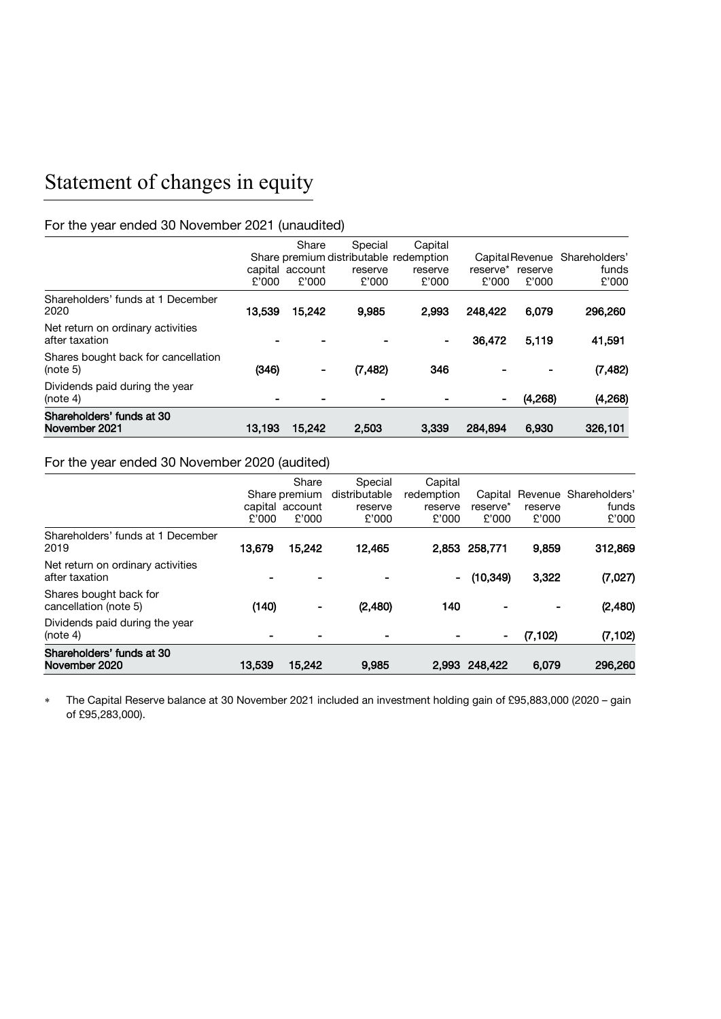# Statement of changes in equity

### For the year ended 30 November 2021 (unaudited)

| Shareholders' funds at 30<br>November 2021          | 13,193 | 15,242                            | 2,503                                                                 | 3,339                       | 284,894           | 6,930            | 326,101                                         |
|-----------------------------------------------------|--------|-----------------------------------|-----------------------------------------------------------------------|-----------------------------|-------------------|------------------|-------------------------------------------------|
| Dividends paid during the year<br>(note 4)          |        |                                   |                                                                       |                             | ۰                 | (4,268)          | (4,268)                                         |
| Shares bought back for cancellation<br>(note 5)     | (346)  | $\qquad \qquad \blacksquare$      | (7, 482)                                                              | 346                         |                   |                  | (7, 482)                                        |
| Net return on ordinary activities<br>after taxation |        |                                   |                                                                       | -                           | 36,472            | 5,119            | 41,591                                          |
| Shareholders' funds at 1 December<br>2020           | 13.539 | 15,242                            | 9,985                                                                 | 2.993                       | 248.422           | 6,079            | 296,260                                         |
|                                                     | £'000  | Share<br>capital account<br>£'000 | Special<br>Share premium distributable redemption<br>reserve<br>£'000 | Capital<br>reserve<br>£'000 | reserve*<br>£'000 | reserve<br>£'000 | Capital Revenue Shareholders'<br>funds<br>£'000 |

#### For the year ended 30 November 2020 (audited)

| (note 4)<br>Shareholders' funds at 30<br>November 2020 | 13,539 | 15,242                                             | 9.985                                        | 2.993                                     | ٠<br>248,422                 | (7, 102)<br>6.079 | (7, 102)<br>296,260                     |
|--------------------------------------------------------|--------|----------------------------------------------------|----------------------------------------------|-------------------------------------------|------------------------------|-------------------|-----------------------------------------|
| Dividends paid during the year                         |        |                                                    |                                              |                                           |                              |                   |                                         |
| Shares bought back for<br>cancellation (note 5)        | (140)  |                                                    | (2,480)                                      | 140                                       |                              |                   | (2,480)                                 |
| Net return on ordinary activities<br>after taxation    |        |                                                    |                                              | $\sim$                                    | (10, 349)                    | 3,322             | (7,027)                                 |
| Shareholders' funds at 1 December<br>2019              | 13.679 | 15.242                                             | 12,465                                       |                                           | 2,853 258,771                | 9,859             | 312,869                                 |
|                                                        | £'000  | Share<br>Share premium<br>capital account<br>£'000 | Special<br>distributable<br>reserve<br>£'000 | Capital<br>redemption<br>reserve<br>£'000 | Capital<br>reserve*<br>£'000 | reserve<br>£'000  | Revenue Shareholders'<br>funds<br>£'000 |

∗ The Capital Reserve balance at 30 November 2021 included an investment holding gain of £95,883,000 (2020 – gain of £95,283,000).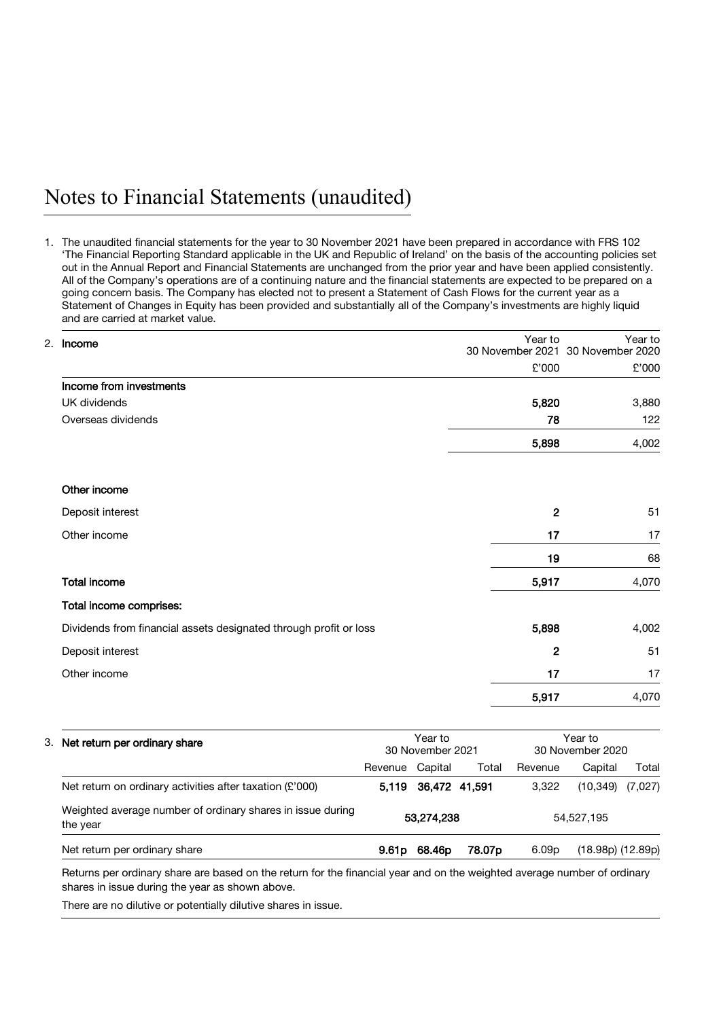## Notes to Financial Statements (unaudited)

1. The unaudited financial statements for the year to 30 November 2021 have been prepared in accordance with FRS 102 'The Financial Reporting Standard applicable in the UK and Republic of Ireland' on the basis of the accounting policies set out in the Annual Report and Financial Statements are unchanged from the prior year and have been applied consistently. All of the Company's operations are of a continuing nature and the financial statements are expected to be prepared on a going concern basis. The Company has elected not to present a Statement of Cash Flows for the current year as a Statement of Changes in Equity has been provided and substantially all of the Company's investments are highly liquid and are carried at market value.

| £'000 | £'000 |
|-------|-------|
|       |       |
|       |       |
| 5,820 | 3,880 |
| 78    | 122   |
| 5,898 | 4,002 |
|       |       |
| 2     | 51    |
| 17    | 17    |
| 19    | 68    |
| 5,917 | 4,070 |
|       |       |
| 5,898 | 4,002 |
| 2     | 51    |
| 17    | 17    |
| 5,917 | 4,070 |
|       |       |

| 3. Net return per ordinary share                                       |                 | Year to<br>30 November 2021 |                    |                   | Year to<br>30 November 2020 |         |  |
|------------------------------------------------------------------------|-----------------|-----------------------------|--------------------|-------------------|-----------------------------|---------|--|
|                                                                        | Revenue Capital |                             | Total              | Revenue           | Capital                     | Total   |  |
| Net return on ordinary activities after taxation (£'000)               |                 | 5.119 36.472 41.591         |                    | 3.322             | (10,349)                    | (7,027) |  |
| Weighted average number of ordinary shares in issue during<br>the year | 53,274,238      |                             |                    | 54,527,195        |                             |         |  |
| Net return per ordinary share                                          | 9.61 p          | 68.46p                      | 78.07 <sub>p</sub> | 6.09 <sub>p</sub> | $(18.98p)$ $(12.89p)$       |         |  |

Returns per ordinary share are based on the return for the financial year and on the weighted average number of ordinary shares in issue during the year as shown above.

There are no dilutive or potentially dilutive shares in issue.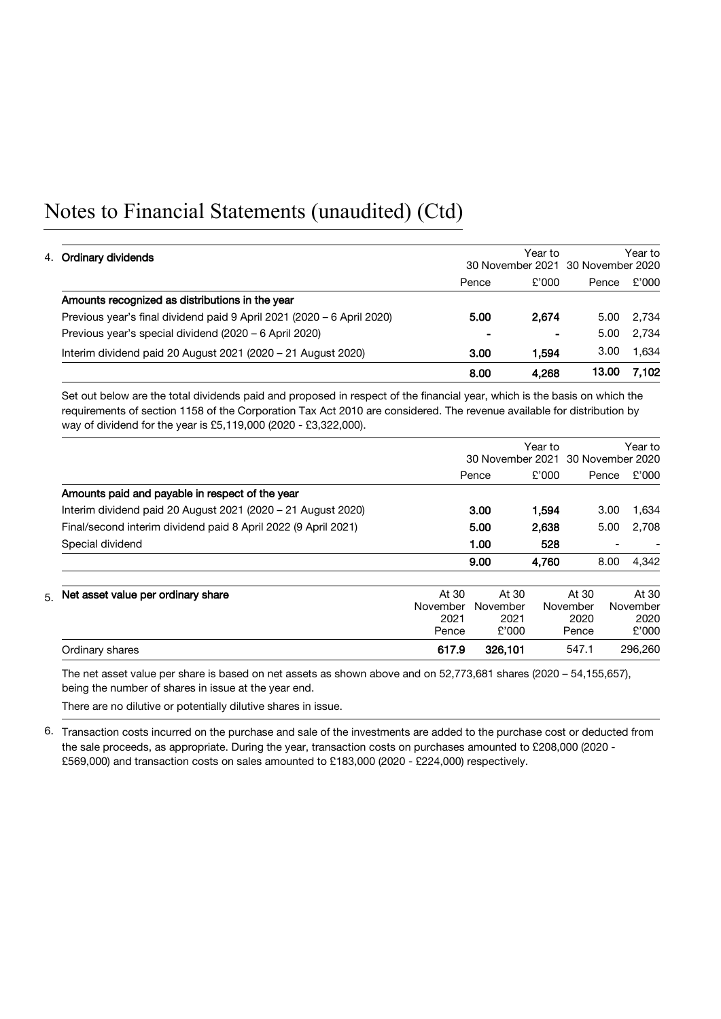# Notes to Financial Statements (unaudited) (Ctd)

|                                                                        |       | Year to                                      |       |       |
|------------------------------------------------------------------------|-------|----------------------------------------------|-------|-------|
| 4. Ordinary dividends                                                  |       | Year to<br>30 November 2021 30 November 2020 |       |       |
|                                                                        | Pence | £'000                                        | Pence | £'000 |
| Amounts recognized as distributions in the year                        |       |                                              |       |       |
| Previous year's final dividend paid 9 April 2021 (2020 – 6 April 2020) | 5.00  | 2.674                                        | 5.00  | 2.734 |
| Previous year's special dividend (2020 - 6 April 2020)                 |       |                                              | 5.00  | 2.734 |
| Interim dividend paid 20 August 2021 (2020 - 21 August 2020)           | 3.00  | 1.594                                        | 3.00  | 1.634 |
|                                                                        | 8.00  | 4,268                                        | 13.00 | 7.102 |

Set out below are the total dividends paid and proposed in respect of the financial year, which is the basis on which the requirements of section 1158 of the Corporation Tax Act 2010 are considered. The revenue available for distribution by way of dividend for the year is £5,119,000 (2020 - £3,322,000).

|                                                                |          | Year to<br>30 November 2021 30 November 2020 |       |          |       | Year to  |
|----------------------------------------------------------------|----------|----------------------------------------------|-------|----------|-------|----------|
|                                                                |          | Pence                                        | £'000 |          | Pence | £'000    |
| Amounts paid and payable in respect of the year                |          |                                              |       |          |       |          |
| Interim dividend paid 20 August 2021 (2020 – 21 August 2020)   |          | 3.00                                         | 1.594 |          | 3.00  | 1,634    |
| Final/second interim dividend paid 8 April 2022 (9 April 2021) |          | 5.00                                         | 2,638 |          | 5.00  | 2,708    |
| Special dividend                                               |          | 1.00                                         | 528   |          |       |          |
|                                                                |          | 9.00                                         | 4,760 |          | 8.00  | 4,342    |
| $51$ Net asset value per ordinary share                        | At 30    | At 30                                        |       | At 30    |       | At 30    |
|                                                                | November | November                                     |       | November |       | November |
|                                                                | 2021     | 2021                                         |       | 2020     |       | 2020     |
|                                                                | Pence    | £'000                                        |       | Pence    |       | £'000    |
| Ordinary shares                                                | 617.9    | 326,101                                      |       | 547.1    |       | 296,260  |

The net asset value per share is based on net assets as shown above and on 52,773,681 shares (2020 – 54,155,657), being the number of shares in issue at the year end.

There are no dilutive or potentially dilutive shares in issue.

6. Transaction costs incurred on the purchase and sale of the investments are added to the purchase cost or deducted from the sale proceeds, as appropriate. During the year, transaction costs on purchases amounted to £208,000 (2020 - £569,000) and transaction costs on sales amounted to £183,000 (2020 - £224,000) respectively.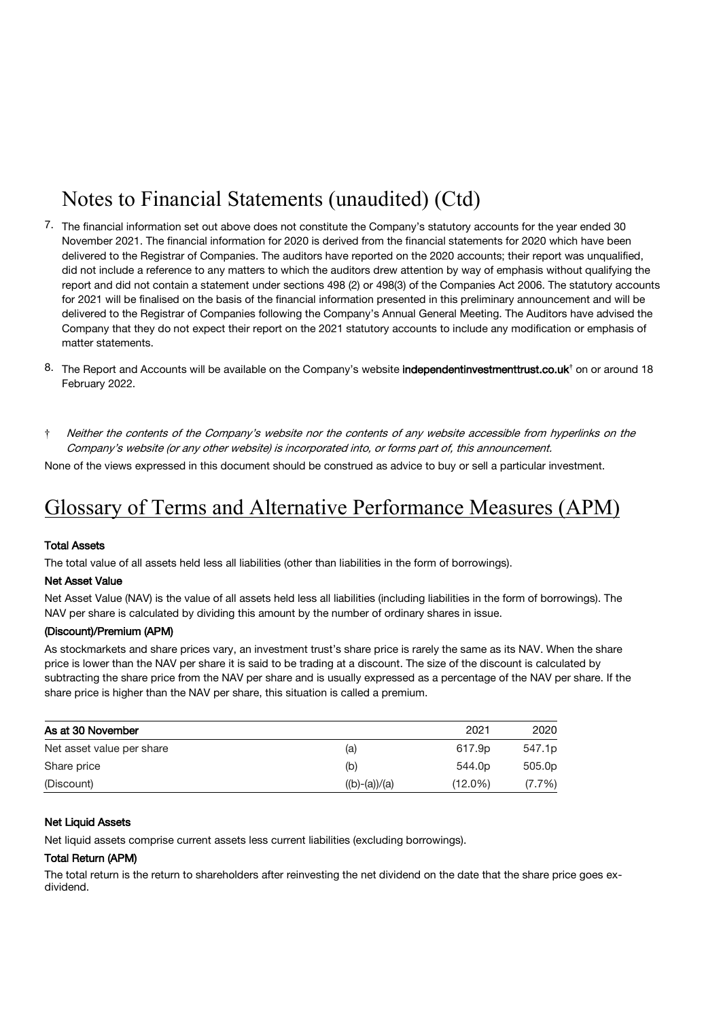# Notes to Financial Statements (unaudited) (Ctd)

- 7. The financial information set out above does not constitute the Company's statutory accounts for the year ended 30 November 2021. The financial information for 2020 is derived from the financial statements for 2020 which have been delivered to the Registrar of Companies. The auditors have reported on the 2020 accounts; their report was unqualified, did not include a reference to any matters to which the auditors drew attention by way of emphasis without qualifying the report and did not contain a statement under sections 498 (2) or 498(3) of the Companies Act 2006. The statutory accounts for 2021 will be finalised on the basis of the financial information presented in this preliminary announcement and will be delivered to the Registrar of Companies following the Company's Annual General Meeting. The Auditors have advised the Company that they do not expect their report on the 2021 statutory accounts to include any modification or emphasis of matter statements.
- 8. The Report and Accounts will be available on the Company's website [independentinvestmenttrust.co.uk](http://www.independentinvestmenttrust.co.uk/)**†** on or around 18 February 2022.
- † Neither the contents of the Company's website nor the contents of any website accessible from hyperlinks on the Company's website (or any other website) is incorporated into, or forms part of, this announcement.

None of the views expressed in this document should be construed as advice to buy or sell a particular investment.

## Glossary of Terms and Alternative Performance Measures (APM)

#### Total Assets

The total value of all assets held less all liabilities (other than liabilities in the form of borrowings).

#### Net Asset Value

Net Asset Value (NAV) is the value of all assets held less all liabilities (including liabilities in the form of borrowings). The NAV per share is calculated by dividing this amount by the number of ordinary shares in issue.

#### (Discount)/Premium (APM)

As stockmarkets and share prices vary, an investment trust's share price is rarely the same as its NAV. When the share price is lower than the NAV per share it is said to be trading at a discount. The size of the discount is calculated by subtracting the share price from the NAV per share and is usually expressed as a percentage of the NAV per share. If the share price is higher than the NAV per share, this situation is called a premium.

| As at 30 November         |                 | 2021               | 2020      |
|---------------------------|-----------------|--------------------|-----------|
| Net asset value per share | (a)             | 617.9p             | 547.1p    |
| Share price               | (b)             | 544.0 <sub>p</sub> | 505.0p    |
| (Discount)                | $((b)-(a))/(a)$ | $(12.0\%)$         | $(7.7\%)$ |

#### **Net Liquid Assets**

Net liquid assets comprise current assets less current liabilities (excluding borrowings).

#### Total Return (APM)

The total return is the return to shareholders after reinvesting the net dividend on the date that the share price goes exdividend.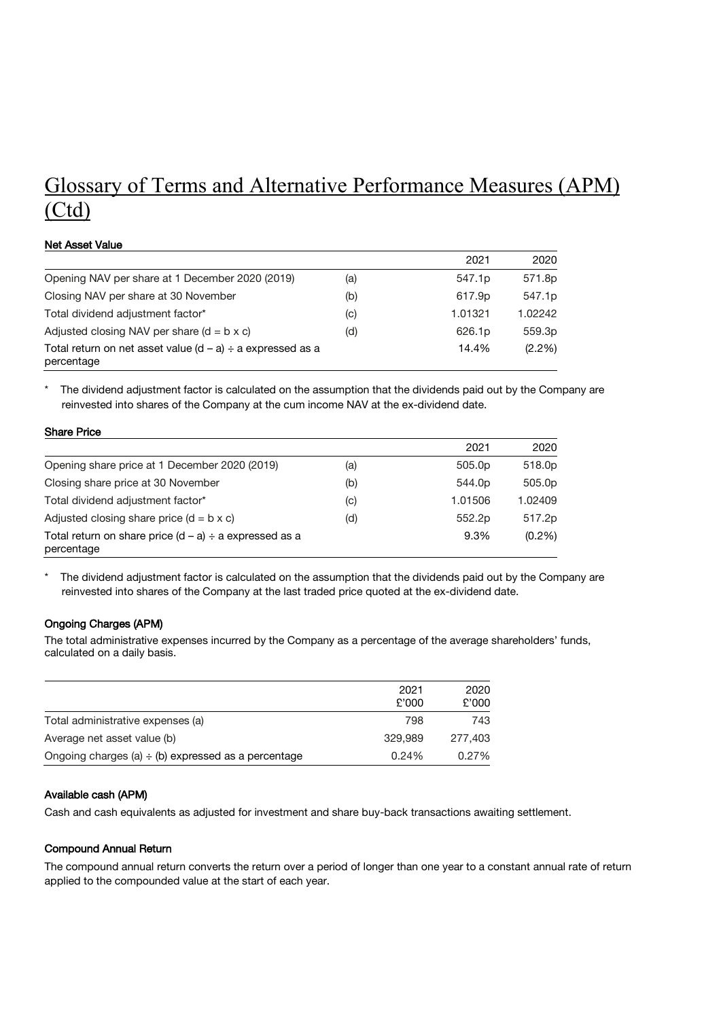# Glossary of Terms and Alternative Performance Measures (APM) (Ctd)

#### Net Asset Value

Share Price

|                                                                               |     | 2021               | 2020               |
|-------------------------------------------------------------------------------|-----|--------------------|--------------------|
| Opening NAV per share at 1 December 2020 (2019)                               | (a) | 547.1 <sub>p</sub> | 571.8p             |
| Closing NAV per share at 30 November                                          | (b) | 617.9p             | 547.1 <sub>p</sub> |
| Total dividend adjustment factor*                                             | (C) | 1.01321            | 1.02242            |
| Adjusted closing NAV per share $(d = b \times c)$                             | (d) | 626.1 <sub>p</sub> | 559.3p             |
| Total return on net asset value $(d - a) \div a$ expressed as a<br>percentage |     | 14.4%              | (2.2%)             |

The dividend adjustment factor is calculated on the assumption that the dividends paid out by the Company are reinvested into shares of the Company at the cum income NAV at the ex-dividend date.

| OHAU FILUT                                                                |                            |         |         |
|---------------------------------------------------------------------------|----------------------------|---------|---------|
|                                                                           |                            | 2021    | 2020    |
| Opening share price at 1 December 2020 (2019)                             | (a)                        | 505.0p  | 518.0p  |
| Closing share price at 30 November                                        | (b)                        | 544.0p  | 505.0p  |
| Total dividend adjustment factor*                                         | $\left( \mathrm{c}\right)$ | 1.01506 | 1.02409 |
| Adjusted closing share price $(d = b \times c)$                           | (d)                        | 552.2p  | 517.2p  |
| Total return on share price $(d - a) \div a$ expressed as a<br>percentage |                            | 9.3%    | (0.2%)  |

\* The dividend adjustment factor is calculated on the assumption that the dividends paid out by the Company are reinvested into shares of the Company at the last traded price quoted at the ex-dividend date.

#### Ongoing Charges (APM)

The total administrative expenses incurred by the Company as a percentage of the average shareholders' funds, calculated on a daily basis.

|                                                          | 2021<br>£'000 | 2020<br>£'000 |
|----------------------------------------------------------|---------------|---------------|
| Total administrative expenses (a)                        | 798           | 743           |
| Average net asset value (b)                              | 329.989       | 277,403       |
| Ongoing charges (a) $\div$ (b) expressed as a percentage | $0.24\%$      | 0.27%         |

#### Available cash (APM)

Cash and cash equivalents as adjusted for investment and share buy-back transactions awaiting settlement.

#### Compound Annual Return

The compound annual return converts the return over a period of longer than one year to a constant annual rate of return applied to the compounded value at the start of each year.